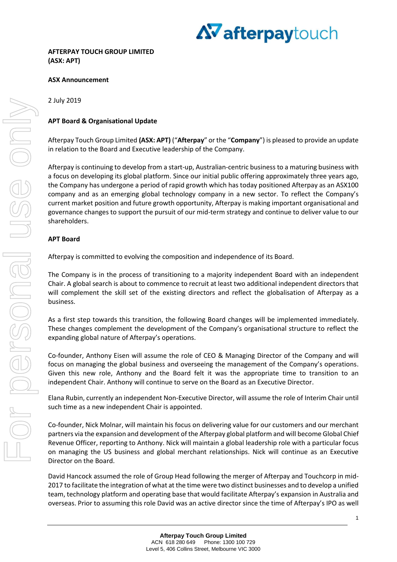

#### **ASX Announcement**

#### 2 July 2019

#### **APT Board & Organisational Update**

Afterpay Touch Group Limited **(ASX: APT)** ("**Afterpay**" or the "**Company**") is pleased to provide an update in relation to the Board and Executive leadership of the Company.

Afterpay is continuing to develop from a start-up, Australian-centric business to a maturing business with a focus on developing its global platform. Since our initial public offering approximately three years ago, the Company has undergone a period of rapid growth which has today positioned Afterpay as an ASX100 company and as an emerging global technology company in a new sector. To reflect the Company's current market position and future growth opportunity, Afterpay is making important organisational and governance changes to support the pursuit of our mid-term strategy and continue to deliver value to our shareholders.

#### **APT Board**

Afterpay is committed to evolving the composition and independence of its Board.

The Company is in the process of transitioning to a majority independent Board with an independent Chair. A global search is about to commence to recruit at least two additional independent directors that will complement the skill set of the existing directors and reflect the globalisation of Afterpay as a business.

As a first step towards this transition, the following Board changes will be implemented immediately. These changes complement the development of the Company's organisational structure to reflect the expanding global nature of Afterpay's operations.

Co-founder, Anthony Eisen will assume the role of CEO & Managing Director of the Company and will focus on managing the global business and overseeing the management of the Company's operations. Given this new role, Anthony and the Board felt it was the appropriate time to transition to an independent Chair. Anthony will continue to serve on the Board as an Executive Director.

Elana Rubin, currently an independent Non-Executive Director, will assume the role of Interim Chair until such time as a new independent Chair is appointed.

Co-founder, Nick Molnar, will maintain his focus on delivering value for our customers and our merchant partners via the expansion and development of the Afterpay global platform and will become Global Chief Revenue Officer, reporting to Anthony. Nick will maintain a global leadership role with a particular focus on managing the US business and global merchant relationships. Nick will continue as an Executive Director on the Board.

David Hancock assumed the role of Group Head following the merger of Afterpay and Touchcorp in mid-2017 to facilitate the integration of what at the time were two distinct businesses and to develop a unified team, technology platform and operating base that would facilitate Afterpay's expansion in Australia and overseas. Prior to assuming this role David was an active director since the time of Afterpay's IPO as well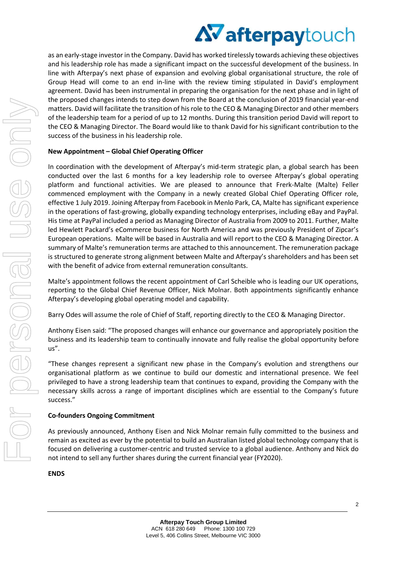# **AV afterpaytouch**

as an early-stage investor in the Company. David has worked tirelessly towards achieving these objectives and his leadership role has made a significant impact on the successful development of the business. In line with Afterpay's next phase of expansion and evolving global organisational structure, the role of Group Head will come to an end in-line with the review timing stipulated in David's employment agreement. David has been instrumental in preparing the organisation for the next phase and in light of the proposed changes intends to step down from the Board at the conclusion of 2019 financial year-end matters. David will facilitate the transition of his role to the CEO & Managing Director and other members of the leadership team for a period of up to 12 months. During this transition period David will report to the CEO & Managing Director. The Board would like to thank David for his significant contribution to the success of the business in his leadership role.

## **New Appointment – Global Chief Operating Officer**

In coordination with the development of Afterpay's mid-term strategic plan, a global search has been conducted over the last 6 months for a key leadership role to oversee Afterpay's global operating platform and functional activities. We are pleased to announce that Frerk-Malte (Malte) Feller commenced employment with the Company in a newly created Global Chief Operating Officer role, effective 1 July 2019. Joining Afterpay from Facebook in Menlo Park, CA, Malte has significant experience in the operations of fast-growing, globally expanding technology enterprises, including eBay and PayPal. His time at PayPal included a period as Managing Director of Australia from 2009 to 2011. Further, Malte led Hewlett Packard's eCommerce business for North America and was previously President of Zipcar's European operations. Malte will be based in Australia and will report to the CEO & Managing Director. A summary of Malte's remuneration terms are attached to this announcement. The remuneration package is structured to generate strong alignment between Malte and Afterpay's shareholders and has been set with the benefit of advice from external remuneration consultants.

Malte's appointment follows the recent appointment of Carl Scheible who is leading our UK operations, reporting to the Global Chief Revenue Officer, Nick Molnar. Both appointments significantly enhance Afterpay's developing global operating model and capability.

Barry Odes will assume the role of Chief of Staff, reporting directly to the CEO & Managing Director.

Anthony Eisen said: "The proposed changes will enhance our governance and appropriately position the business and its leadership team to continually innovate and fully realise the global opportunity before us".

"These changes represent a significant new phase in the Company's evolution and strengthens our organisational platform as we continue to build our domestic and international presence. We feel privileged to have a strong leadership team that continues to expand, providing the Company with the necessary skills across a range of important disciplines which are essential to the Company's future success."

## **Co-founders Ongoing Commitment**

As previously announced, Anthony Eisen and Nick Molnar remain fully committed to the business and remain as excited as ever by the potential to build an Australian listed global technology company that is focused on delivering a customer-centric and trusted service to a global audience. Anthony and Nick do not intend to sell any further shares during the current financial year (FY2020).

**ENDS**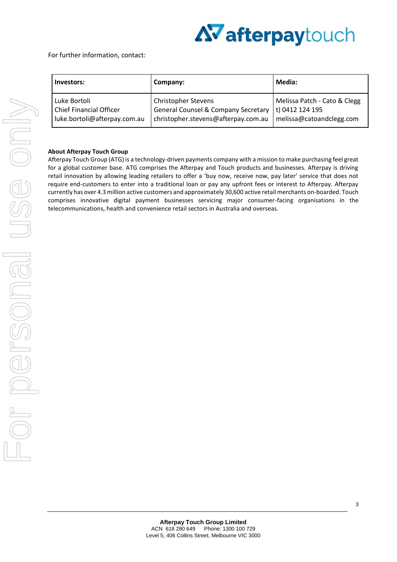

For further information, contact:

| Investors:                     | Company:                                       | <b>Media:</b>                |
|--------------------------------|------------------------------------------------|------------------------------|
| Luke Bortoli                   | <b>Christopher Stevens</b>                     | Melissa Patch - Cato & Clegg |
| <b>Chief Financial Officer</b> | <b>General Counsel &amp; Company Secretary</b> | t) 0412 124 195              |
| luke.bortoli@afterpay.com.au   | christopher.stevens@afterpay.com.au            | melissa@catoandclegg.com     |

#### **About Afterpay Touch Group**

Afterpay Touch Group (ATG) is a technology-driven payments company with a mission to make purchasing feel great for a global customer base. ATG comprises the Afterpay and Touch products and businesses. Afterpay is driving retail innovation by allowing leading retailers to offer a 'buy now, receive now, pay later' service that does not require end-customers to enter into a traditional loan or pay any upfront fees or interest to Afterpay. Afterpay currently has over 4.3 million active customers and approximately 30,600 active retail merchants on-boarded. Touch comprises innovative digital payment businesses servicing major consumer-facing organisations in the telecommunications, health and convenience retail sectors in Australia and overseas.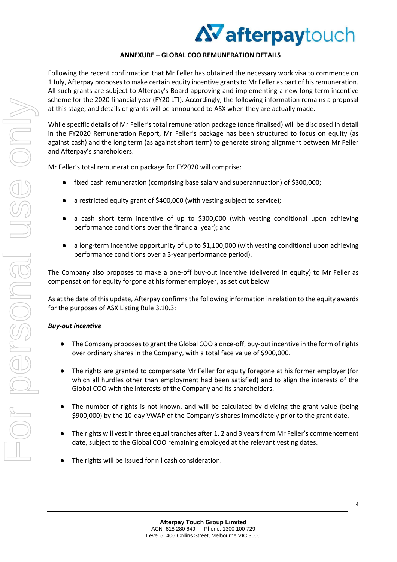## AV afterpaytouch

## **ANNEXURE – GLOBAL COO REMUNERATION DETAILS**

Following the recent confirmation that Mr Feller has obtained the necessary work visa to commence on 1 July, Afterpay proposes to make certain equity incentive grants to Mr Feller as part of his remuneration. All such grants are subject to Afterpay's Board approving and implementing a new long term incentive scheme for the 2020 financial year (FY20 LTI). Accordingly, the following information remains a proposal at this stage, and details of grants will be announced to ASX when they are actually made.

While specific details of Mr Feller's total remuneration package (once finalised) will be disclosed in detail in the FY2020 Remuneration Report, Mr Feller's package has been structured to focus on equity (as against cash) and the long term (as against short term) to generate strong alignment between Mr Feller and Afterpay's shareholders.

Mr Feller's total remuneration package for FY2020 will comprise:

- fixed cash remuneration (comprising base salary and superannuation) of \$300,000;
- a restricted equity grant of \$400,000 (with vesting subject to service);
- a cash short term incentive of up to \$300,000 (with vesting conditional upon achieving performance conditions over the financial year); and
- a long-term incentive opportunity of up to \$1,100,000 (with vesting conditional upon achieving performance conditions over a 3-year performance period).

The Company also proposes to make a one-off buy-out incentive (delivered in equity) to Mr Feller as compensation for equity forgone at his former employer, as set out below.

As at the date of this update, Afterpay confirms the following information in relation to the equity awards for the purposes of ASX Listing Rule 3.10.3:

## *Buy-out incentive*

- The Company proposes to grant the Global COO a once-off, buy-out incentive in the form of rights over ordinary shares in the Company, with a total face value of \$900,000.
- The rights are granted to compensate Mr Feller for equity foregone at his former employer (for which all hurdles other than employment had been satisfied) and to align the interests of the Global COO with the interests of the Company and its shareholders.
- The number of rights is not known, and will be calculated by dividing the grant value (being \$900,000) by the 10-day VWAP of the Company's shares immediately prior to the grant date.
- The rights will vest in three equal tranches after 1, 2 and 3 years from Mr Feller's commencement date, subject to the Global COO remaining employed at the relevant vesting dates.
- The rights will be issued for nil cash consideration.